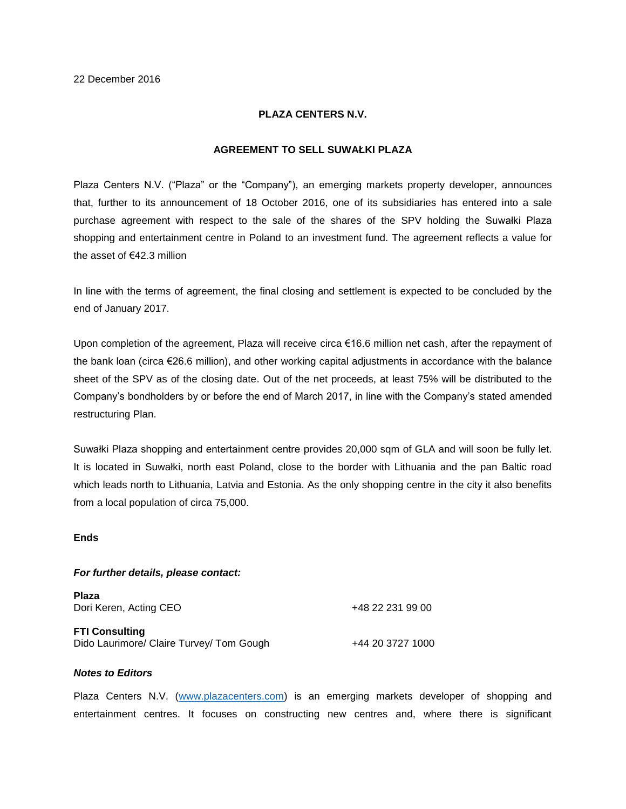# **PLAZA CENTERS N.V.**

# **AGREEMENT TO SELL SUWAŁKI PLAZA**

Plaza Centers N.V. ("Plaza" or the "Company"), an emerging markets property developer, announces that, further to its announcement of 18 October 2016, one of its subsidiaries has entered into a sale purchase agreement with respect to the sale of the shares of the SPV holding the Suwałki Plaza shopping and entertainment centre in Poland to an investment fund. The agreement reflects a value for the asset of €42.3 million

In line with the terms of agreement, the final closing and settlement is expected to be concluded by the end of January 2017.

Upon completion of the agreement, Plaza will receive circa €16.6 million net cash, after the repayment of the bank loan (circa €26.6 million), and other working capital adjustments in accordance with the balance sheet of the SPV as of the closing date. Out of the net proceeds, at least 75% will be distributed to the Company's bondholders by or before the end of March 2017, in line with the Company's stated amended restructuring Plan.

Suwałki Plaza shopping and entertainment centre provides 20,000 sqm of GLA and will soon be fully let. It is located in Suwałki, north east Poland, close to the border with Lithuania and the pan Baltic road which leads north to Lithuania, Latvia and Estonia. As the only shopping centre in the city it also benefits from a local population of circa 75,000.

# **Ends**

### *For further details, please contact:*

| <b>Plaza</b><br>Dori Keren, Acting CEO   | +48 22 231 99 00 |
|------------------------------------------|------------------|
| <b>FTI Consulting</b>                    |                  |
| Dido Laurimore/ Claire Turvey/ Tom Gough | +44 20 3727 1000 |

# *Notes to Editors*

Plaza Centers N.V. [\(www.plazacenters.com\)](http://www.plazacenters.com/) is an emerging markets developer of shopping and entertainment centres. It focuses on constructing new centres and, where there is significant